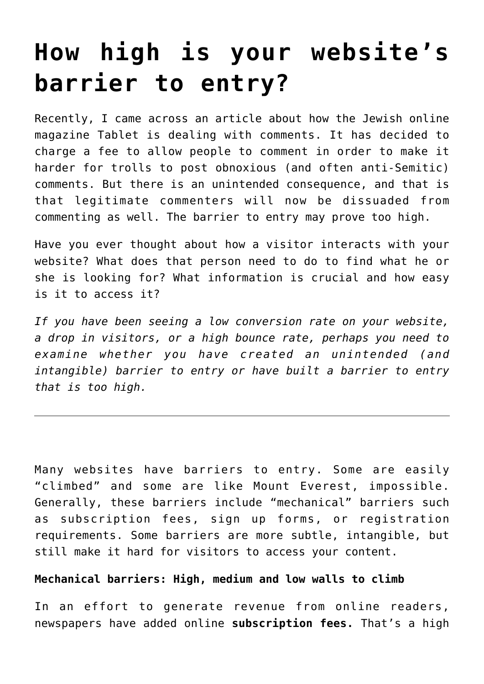## **[How high is your website's](https://deborahbrody.com/2015/02/how-high-is-your-websites-barrier-to-entry/) [barrier to entry?](https://deborahbrody.com/2015/02/how-high-is-your-websites-barrier-to-entry/)**

Recently, I came across an article about how the Jewish online magazine [Tablet](http://tabletmag.com/) is dealing with comments. It has decided to charge a fee to allow people to comment in order to make it harder for trolls to post obnoxious (and often anti-Semitic) comments. But there is an unintended consequence, and that is that legitimate commenters will now be dissuaded from commenting as well. The barrier to entry may prove too high.

Have you ever thought about how a visitor interacts with your website? What does that person need to do to find what he or she is looking for? What information is crucial and how easy is it to access it?

*If you have been seeing a low conversion rate on your website, a drop in visitors, or a high bounce rate, perhaps you need to examine whether you have created an unintended (and intangible) barrier to entry or have built a barrier to entry that is too high.*

Many websites have barriers to entry. Some are easily "climbed" and some are like Mount Everest, impossible. Generally, these barriers include "mechanical" barriers such as subscription fees, sign up forms, or registration requirements. Some barriers are more subtle, intangible, but still make it hard for visitors to access your content.

## **Mechanical barriers: High, medium and low walls to climb**

In an effort to generate revenue from online readers, newspapers have added online **subscription fees.** That's a high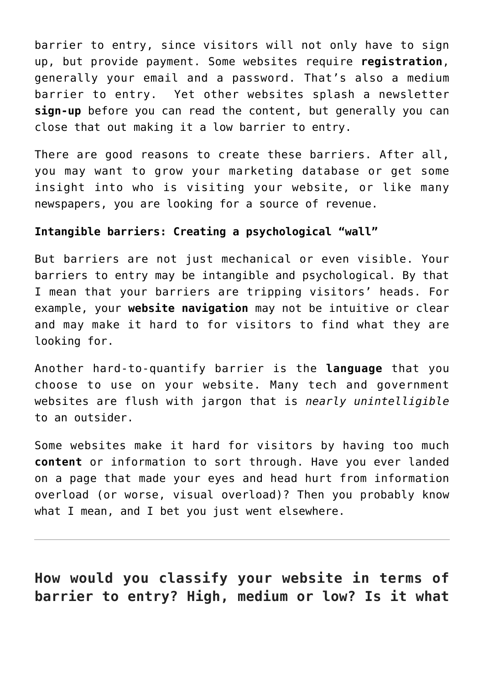barrier to entry, since visitors will not only have to sign up, but provide payment. Some websites require **registration**, generally your email and a password. That's also a medium barrier to entry. Yet other websites splash a newsletter **sign-up** before you can read the content, but generally you can close that out making it a low barrier to entry.

There are good reasons to create these barriers. After all, you may want to grow your marketing database or get some insight into who is visiting your website, or like many newspapers, you are looking for a source of revenue.

## **Intangible barriers: Creating a psychological "wall"**

But barriers are not just mechanical or even visible. Your barriers to entry may be intangible and psychological. By that I mean that your barriers are tripping visitors' heads. For example, your **website navigation** may not be intuitive or clear and may make it hard to for visitors to find what they are looking for.

Another hard-to-quantify barrier is the **language** that you choose to use on your website. Many tech and government websites are flush with jargon that is *nearly unintelligible* to an outsider.

Some websites make it hard for visitors by having too much **content** or information to sort through. Have you ever landed on a page that made your eyes and head hurt from information overload (or worse, visual overload)? Then you probably know what I mean, and I bet you just went elsewhere.

**How would you classify your website in terms of barrier to entry? High, medium or low? Is it what**